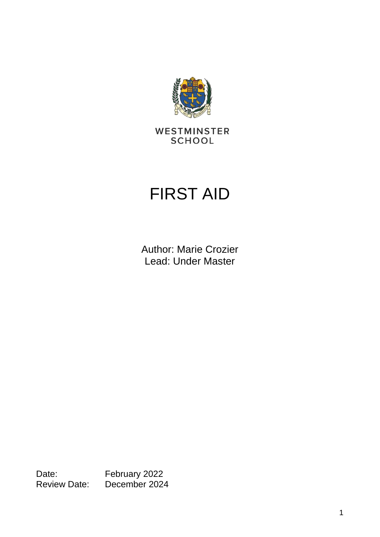

WESTMINSTER **SCHOOL** 

# FIRST AID

Author: Marie Crozier Lead: Under Master

Date: February 2022 Review Date: December 2024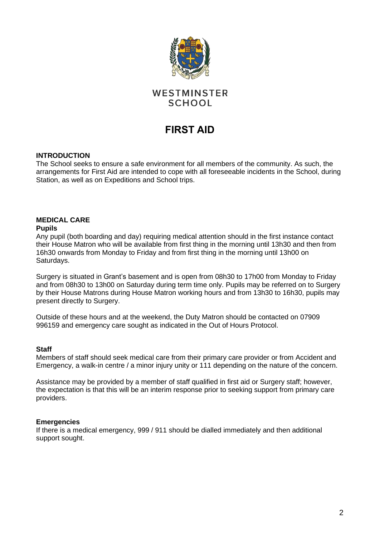

# WESTMINSTER **SCHOOL**

# **FIRST AID**

# **INTRODUCTION**

The School seeks to ensure a safe environment for all members of the community. As such, the arrangements for First Aid are intended to cope with all foreseeable incidents in the School, during Station, as well as on Expeditions and School trips.

# **MEDICAL CARE**

# **Pupils**

Any pupil (both boarding and day) requiring medical attention should in the first instance contact their House Matron who will be available from first thing in the morning until 13h30 and then from 16h30 onwards from Monday to Friday and from first thing in the morning until 13h00 on Saturdays.

Surgery is situated in Grant's basement and is open from 08h30 to 17h00 from Monday to Friday and from 08h30 to 13h00 on Saturday during term time only. Pupils may be referred on to Surgery by their House Matrons during House Matron working hours and from 13h30 to 16h30, pupils may present directly to Surgery.

Outside of these hours and at the weekend, the Duty Matron should be contacted on 07909 996159 and emergency care sought as indicated in the Out of Hours Protocol.

#### **Staff**

Members of staff should seek medical care from their primary care provider or from Accident and Emergency, a walk-in centre / a minor injury unity or 111 depending on the nature of the concern.

Assistance may be provided by a member of staff qualified in first aid or Surgery staff; however, the expectation is that this will be an interim response prior to seeking support from primary care providers.

# **Emergencies**

If there is a medical emergency, 999 / 911 should be dialled immediately and then additional support sought.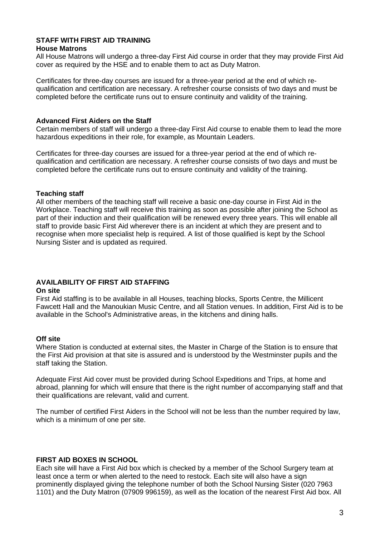# **STAFF WITH FIRST AID TRAINING**

# **House Matrons**

All House Matrons will undergo a three-day First Aid course in order that they may provide First Aid cover as required by the HSE and to enable them to act as Duty Matron.

Certificates for three-day courses are issued for a three-year period at the end of which requalification and certification are necessary. A refresher course consists of two days and must be completed before the certificate runs out to ensure continuity and validity of the training.

# **Advanced First Aiders on the Staff**

Certain members of staff will undergo a three-day First Aid course to enable them to lead the more hazardous expeditions in their role, for example, as Mountain Leaders.

Certificates for three-day courses are issued for a three-year period at the end of which requalification and certification are necessary. A refresher course consists of two days and must be completed before the certificate runs out to ensure continuity and validity of the training.

# **Teaching staff**

All other members of the teaching staff will receive a basic one-day course in First Aid in the Workplace. Teaching staff will receive this training as soon as possible after joining the School as part of their induction and their qualification will be renewed every three years. This will enable all staff to provide basic First Aid wherever there is an incident at which they are present and to recognise when more specialist help is required. A list of those qualified is kept by the School Nursing Sister and is updated as required.

# **AVAILABILITY OF FIRST AID STAFFING**

# **On site**

First Aid staffing is to be available in all Houses, teaching blocks, Sports Centre, the Millicent Fawcett Hall and the Manoukian Music Centre, and all Station venues. In addition, First Aid is to be available in the School's Administrative areas, in the kitchens and dining halls.

# **Off site**

Where Station is conducted at external sites, the Master in Charge of the Station is to ensure that the First Aid provision at that site is assured and is understood by the Westminster pupils and the staff taking the Station.

Adequate First Aid cover must be provided during School Expeditions and Trips, at home and abroad, planning for which will ensure that there is the right number of accompanying staff and that their qualifications are relevant, valid and current.

The number of certified First Aiders in the School will not be less than the number required by law, which is a minimum of one per site.

# **FIRST AID BOXES IN SCHOOL**

Each site will have a First Aid box which is checked by a member of the School Surgery team at least once a term or when alerted to the need to restock. Each site will also have a sign prominently displayed giving the telephone number of both the School Nursing Sister (020 7963 1101) and the Duty Matron (07909 996159), as well as the location of the nearest First Aid box. All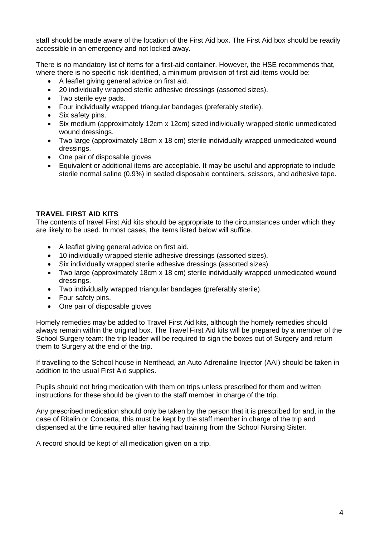staff should be made aware of the location of the First Aid box. The First Aid box should be readily accessible in an emergency and not locked away.

There is no mandatory list of items for a first-aid container. However, the HSE recommends that, where there is no specific risk identified, a minimum provision of first-aid items would be:

- A leaflet giving general advice on first aid.
- 20 individually wrapped sterile adhesive dressings (assorted sizes).
- Two sterile eye pads.
- Four individually wrapped triangular bandages (preferably sterile).
- Six safety pins.
- Six medium (approximately 12cm x 12cm) sized individually wrapped sterile unmedicated wound dressings.
- Two large (approximately 18cm x 18 cm) sterile individually wrapped unmedicated wound dressings.
- One pair of disposable gloves
- Equivalent or additional items are acceptable. It may be useful and appropriate to include sterile normal saline (0.9%) in sealed disposable containers, scissors, and adhesive tape.

# **TRAVEL FIRST AID KITS**

The contents of travel First Aid kits should be appropriate to the circumstances under which they are likely to be used. In most cases, the items listed below will suffice.

- A leaflet giving general advice on first aid.
- 10 individually wrapped sterile adhesive dressings (assorted sizes).
- Six individually wrapped sterile adhesive dressings (assorted sizes).
- Two large (approximately 18cm x 18 cm) sterile individually wrapped unmedicated wound dressings.
- Two individually wrapped triangular bandages (preferably sterile).
- Four safety pins.
- One pair of disposable gloves

Homely remedies may be added to Travel First Aid kits, although the homely remedies should always remain within the original box. The Travel First Aid kits will be prepared by a member of the School Surgery team: the trip leader will be required to sign the boxes out of Surgery and return them to Surgery at the end of the trip.

If travelling to the School house in Nenthead, an Auto Adrenaline Injector (AAI) should be taken in addition to the usual First Aid supplies.

Pupils should not bring medication with them on trips unless prescribed for them and written instructions for these should be given to the staff member in charge of the trip.

Any prescribed medication should only be taken by the person that it is prescribed for and, in the case of Ritalin or Concerta, this must be kept by the staff member in charge of the trip and dispensed at the time required after having had training from the School Nursing Sister.

A record should be kept of all medication given on a trip.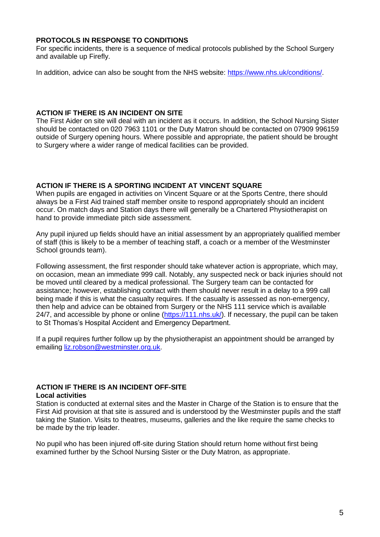# **PROTOCOLS IN RESPONSE TO CONDITIONS**

For specific incidents, there is a sequence of medical protocols published by the School Surgery and available up Firefly.

In addition, advice can also be sought from the NHS website: [https://www.nhs.uk/conditions/.](https://www.nhs.uk/conditions/)

# **ACTION IF THERE IS AN INCIDENT ON SITE**

The First Aider on site will deal with an incident as it occurs. In addition, the School Nursing Sister should be contacted on 020 7963 1101 or the Duty Matron should be contacted on 07909 996159 outside of Surgery opening hours. Where possible and appropriate, the patient should be brought to Surgery where a wider range of medical facilities can be provided.

# **ACTION IF THERE IS A SPORTING INCIDENT AT VINCENT SQUARE**

When pupils are engaged in activities on Vincent Square or at the Sports Centre, there should always be a First Aid trained staff member onsite to respond appropriately should an incident occur. On match days and Station days there will generally be a Chartered Physiotherapist on hand to provide immediate pitch side assessment.

Any pupil injured up fields should have an initial assessment by an appropriately qualified member of staff (this is likely to be a member of teaching staff, a coach or a member of the Westminster School grounds team).

Following assessment, the first responder should take whatever action is appropriate, which may, on occasion, mean an immediate 999 call. Notably, any suspected neck or back injuries should not be moved until cleared by a medical professional. The Surgery team can be contacted for assistance; however, establishing contact with them should never result in a delay to a 999 call being made if this is what the casualty requires. If the casualty is assessed as non-emergency, then help and advice can be obtained from Surgery or the NHS 111 service which is available 24/7, and accessible by phone or online (https://111.nhs.uk). If necessary, the pupil can be taken to St Thomas's Hospital Accident and Emergency Department.

If a pupil requires further follow up by the physiotherapist an appointment should be arranged by emailing [liz.robson@westminster.org.uk.](mailto:liz.robson@westminster.org.uk)

# **ACTION IF THERE IS AN INCIDENT OFF-SITE**

#### **Local activities**

Station is conducted at external sites and the Master in Charge of the Station is to ensure that the First Aid provision at that site is assured and is understood by the Westminster pupils and the staff taking the Station. Visits to theatres, museums, galleries and the like require the same checks to be made by the trip leader.

No pupil who has been injured off-site during Station should return home without first being examined further by the School Nursing Sister or the Duty Matron, as appropriate.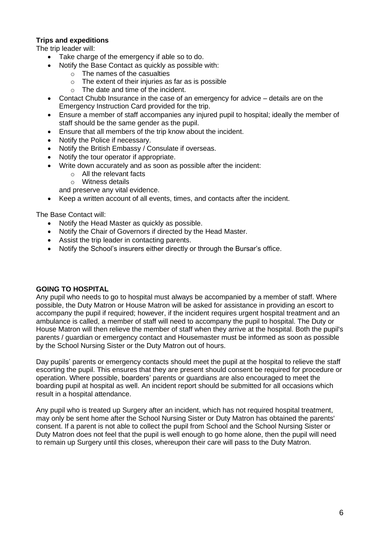# **Trips and expeditions**

The trip leader will:

- Take charge of the emergency if able so to do.
	- Notify the Base Contact as quickly as possible with:
		- $\circ$  The names of the casualties
		- $\circ$  The extent of their injuries as far as is possible
		- o The date and time of the incident.
- Contact Chubb Insurance in the case of an emergency for advice details are on the Emergency Instruction Card provided for the trip.
- Ensure a member of staff accompanies any injured pupil to hospital; ideally the member of staff should be the same gender as the pupil.
- Ensure that all members of the trip know about the incident.
- Notify the Police if necessary.
- Notify the British Embassy / Consulate if overseas.
- Notify the tour operator if appropriate.
	- Write down accurately and as soon as possible after the incident:
		- o All the relevant facts
		- o Witness details
	- and preserve any vital evidence.
- Keep a written account of all events, times, and contacts after the incident.

The Base Contact will:

- Notify the Head Master as quickly as possible.
- Notify the Chair of Governors if directed by the Head Master.
- Assist the trip leader in contacting parents.
- Notify the School's insurers either directly or through the Bursar's office.

# **GOING TO HOSPITAL**

Any pupil who needs to go to hospital must always be accompanied by a member of staff. Where possible, the Duty Matron or House Matron will be asked for assistance in providing an escort to accompany the pupil if required; however, if the incident requires urgent hospital treatment and an ambulance is called, a member of staff will need to accompany the pupil to hospital. The Duty or House Matron will then relieve the member of staff when they arrive at the hospital. Both the pupil's parents / guardian or emergency contact and Housemaster must be informed as soon as possible by the School Nursing Sister or the Duty Matron out of hours.

Day pupils' parents or emergency contacts should meet the pupil at the hospital to relieve the staff escorting the pupil. This ensures that they are present should consent be required for procedure or operation. Where possible, boarders' parents or guardians are also encouraged to meet the boarding pupil at hospital as well. An incident report should be submitted for all occasions which result in a hospital attendance.

Any pupil who is treated up Surgery after an incident, which has not required hospital treatment, may only be sent home after the School Nursing Sister or Duty Matron has obtained the parents' consent. If a parent is not able to collect the pupil from School and the School Nursing Sister or Duty Matron does not feel that the pupil is well enough to go home alone, then the pupil will need to remain up Surgery until this closes, whereupon their care will pass to the Duty Matron.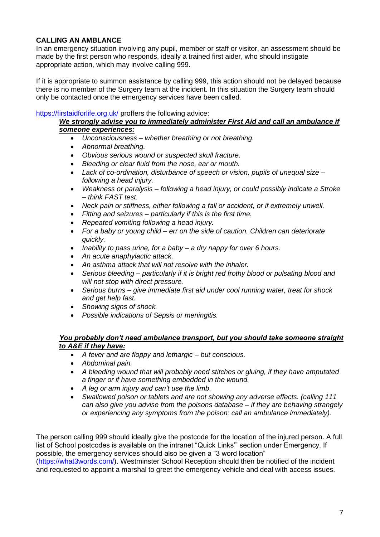# **CALLING AN AMBLANCE**

In an emergency situation involving any pupil, member or staff or visitor, an assessment should be made by the first person who responds, ideally a trained first aider, who should instigate appropriate action, which may involve calling 999.

If it is appropriate to summon assistance by calling 999, this action should not be delayed because there is no member of the Surgery team at the incident. In this situation the Surgery team should only be contacted once the emergency services have been called.

# <https://firstaidforlife.org.uk/> proffers the following advice:

# *We strongly advise you to immediately administer First Aid and call an ambulance if someone experiences:*

- *Unconsciousness – whether breathing or not breathing.*
- *Abnormal breathing.*
- *Obvious serious wound or suspected skull fracture.*
- *Bleeding or clear fluid from the nose, ear or mouth.*
- *Lack of co-ordination, disturbance of speech or vision, pupils of unequal size – following a head injury.*
- *Weakness or paralysis – following a head injury, or could possibly indicate a Stroke – think FAST test.*
- *Neck pain or stiffness, either following a fall or accident, or if extremely unwell.*
- *Fitting and seizures – particularly if this is the first time.*
- *Repeated vomiting following a head injury.*
- *For a baby or young child – err on the side of caution. Children can deteriorate quickly.*
- *Inability to pass urine, for a baby – a dry nappy for over 6 hours.*
- *An acute anaphylactic attack.*
- *An asthma attack that will not resolve with the inhaler.*
- *Serious bleeding – particularly if it is bright red frothy blood or pulsating blood and will not stop with direct pressure.*
- *Serious burns – give immediate first aid under cool running water, treat for shock and get help fast.*
- *Showing signs of shock.*
- *Possible indications of Sepsis or meningitis.*

# *You probably don't need ambulance transport, but you should take someone straight to A&E if they have:*

- *A fever and are floppy and lethargic – but conscious.*
- *Abdominal pain.*
- *A bleeding wound that will probably need stitches or gluing, if they have amputated a finger or if have something embedded in the wound.*
- *A leg or arm injury and can't use the limb.*
- *Swallowed poison or tablets and are not showing any adverse effects. (calling 111 can also give you advise from the poisons database – if they are behaving strangely or experiencing any symptoms from the poison; call an ambulance immediately).*

The person calling 999 should ideally give the postcode for the location of the injured person. A full list of School postcodes is available on the intranet "Quick Links'" section under Emergency. If possible, the emergency services should also be given a "3 word location"

[\(https://what3words.com/\)](https://what3words.com/). Westminster School Reception should then be notified of the incident and requested to appoint a marshal to greet the emergency vehicle and deal with access issues.